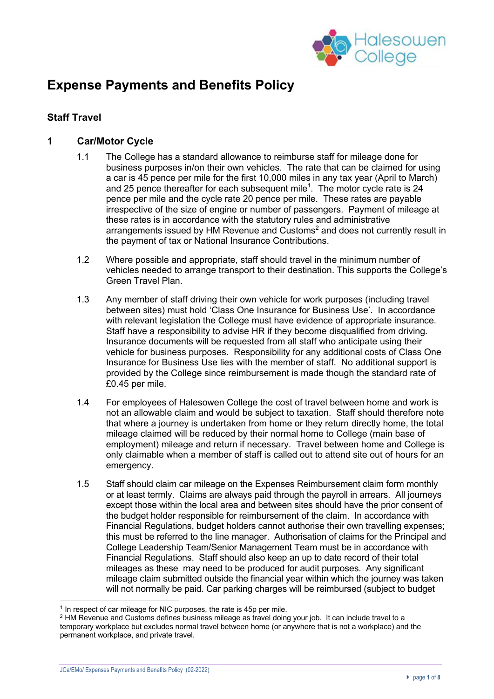

# **Expense Payments and Benefits Policy**

## **Staff Travel**

## **1 Car/Motor Cycle**

- 1.1 The College has a standard allowance to reimburse staff for mileage done for business purposes in/on their own vehicles. The rate that can be claimed for using a car is 45 pence per mile for the first 10,000 miles in any tax year (April to March) and 25 pence thereafter for each subsequent mile<sup>1</sup>. The motor cycle rate is 24 pence per mile and the cycle rate 20 pence per mile. These rates are payable irrespective of the size of engine or number of passengers. Payment of mileage at these rates is in accordance with the statutory rules and administrative arrangements issued by HM Revenue and Customs<sup>2</sup> and does not currently result in the payment of tax or National Insurance Contributions.
- 1.2 Where possible and appropriate, staff should travel in the minimum number of vehicles needed to arrange transport to their destination. This supports the College's Green Travel Plan.
- 1.3 Any member of staff driving their own vehicle for work purposes (including travel between sites) must hold 'Class One Insurance for Business Use'. In accordance with relevant legislation the College must have evidence of appropriate insurance. Staff have a responsibility to advise HR if they become disqualified from driving. Insurance documents will be requested from all staff who anticipate using their vehicle for business purposes. Responsibility for any additional costs of Class One Insurance for Business Use lies with the member of staff. No additional support is provided by the College since reimbursement is made though the standard rate of £0.45 per mile.
- 1.4 For employees of Halesowen College the cost of travel between home and work is not an allowable claim and would be subject to taxation. Staff should therefore note that where a journey is undertaken from home or they return directly home, the total mileage claimed will be reduced by their normal home to College (main base of employment) mileage and return if necessary. Travel between home and College is only claimable when a member of staff is called out to attend site out of hours for an emergency.
- 1.5 Staff should claim car mileage on the Expenses Reimbursement claim form monthly or at least termly. Claims are always paid through the payroll in arrears. All journeys except those within the local area and between sites should have the prior consent of the budget holder responsible for reimbursement of the claim. In accordance with Financial Regulations, budget holders cannot authorise their own travelling expenses; this must be referred to the line manager. Authorisation of claims for the Principal and College Leadership Team/Senior Management Team must be in accordance with Financial Regulations. Staff should also keep an up to date record of their total mileages as these may need to be produced for audit purposes. Any significant mileage claim submitted outside the financial year within which the journey was taken will not normally be paid. Car parking charges will be reimbursed (subject to budget

<sup>&</sup>lt;sup>1</sup> In respect of car mileage for NIC purposes, the rate is 45p per mile.

<sup>2</sup> HM Revenue and Customs defines business mileage as travel doing your job. It can include travel to a temporary workplace but excludes normal travel between home (or anywhere that is not a workplace) and the permanent workplace, and private travel.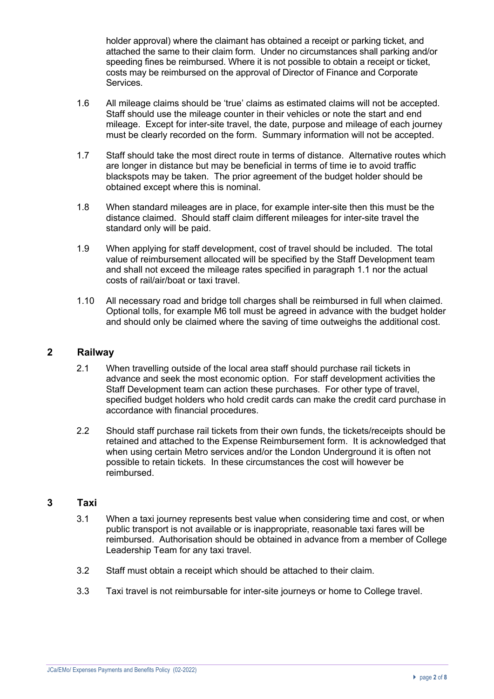holder approval) where the claimant has obtained a receipt or parking ticket, and attached the same to their claim form. Under no circumstances shall parking and/or speeding fines be reimbursed. Where it is not possible to obtain a receipt or ticket, costs may be reimbursed on the approval of Director of Finance and Corporate Services.

- 1.6 All mileage claims should be 'true' claims as estimated claims will not be accepted. Staff should use the mileage counter in their vehicles or note the start and end mileage. Except for inter-site travel, the date, purpose and mileage of each journey must be clearly recorded on the form. Summary information will not be accepted.
- 1.7 Staff should take the most direct route in terms of distance. Alternative routes which are longer in distance but may be beneficial in terms of time ie to avoid traffic blackspots may be taken. The prior agreement of the budget holder should be obtained except where this is nominal.
- 1.8 When standard mileages are in place, for example inter-site then this must be the distance claimed. Should staff claim different mileages for inter-site travel the standard only will be paid.
- 1.9 When applying for staff development, cost of travel should be included. The total value of reimbursement allocated will be specified by the Staff Development team and shall not exceed the mileage rates specified in paragraph 1.1 nor the actual costs of rail/air/boat or taxi travel.
- 1.10 All necessary road and bridge toll charges shall be reimbursed in full when claimed. Optional tolls, for example M6 toll must be agreed in advance with the budget holder and should only be claimed where the saving of time outweighs the additional cost.

## **2 Railway**

- 2.1 When travelling outside of the local area staff should purchase rail tickets in advance and seek the most economic option. For staff development activities the Staff Development team can action these purchases. For other type of travel, specified budget holders who hold credit cards can make the credit card purchase in accordance with financial procedures.
- 2.2 Should staff purchase rail tickets from their own funds, the tickets/receipts should be retained and attached to the Expense Reimbursement form. It is acknowledged that when using certain Metro services and/or the London Underground it is often not possible to retain tickets. In these circumstances the cost will however be reimbursed.

## **3 Taxi**

- 3.1 When a taxi journey represents best value when considering time and cost, or when public transport is not available or is inappropriate, reasonable taxi fares will be reimbursed. Authorisation should be obtained in advance from a member of College Leadership Team for any taxi travel.
- 3.2 Staff must obtain a receipt which should be attached to their claim.
- 3.3 Taxi travel is not reimbursable for inter-site journeys or home to College travel.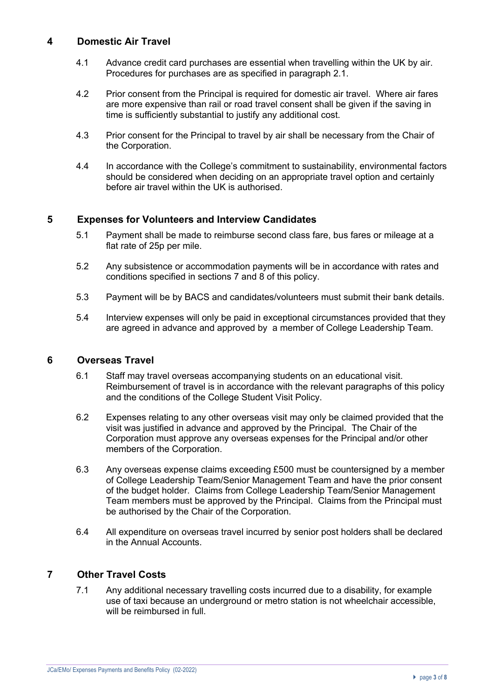## **4 Domestic Air Travel**

- 4.1 Advance credit card purchases are essential when travelling within the UK by air. Procedures for purchases are as specified in paragraph 2.1.
- 4.2 Prior consent from the Principal is required for domestic air travel. Where air fares are more expensive than rail or road travel consent shall be given if the saving in time is sufficiently substantial to justify any additional cost.
- 4.3 Prior consent for the Principal to travel by air shall be necessary from the Chair of the Corporation.
- 4.4 In accordance with the College's commitment to sustainability, environmental factors should be considered when deciding on an appropriate travel option and certainly before air travel within the UK is authorised.

## **5 Expenses for Volunteers and Interview Candidates**

- 5.1 Payment shall be made to reimburse second class fare, bus fares or mileage at a flat rate of 25p per mile.
- 5.2 Any subsistence or accommodation payments will be in accordance with rates and conditions specified in sections 7 and 8 of this policy.
- 5.3 Payment will be by BACS and candidates/volunteers must submit their bank details.
- 5.4 Interview expenses will only be paid in exceptional circumstances provided that they are agreed in advance and approved by a member of College Leadership Team.

#### **6 Overseas Travel**

- 6.1 Staff may travel overseas accompanying students on an educational visit. Reimbursement of travel is in accordance with the relevant paragraphs of this policy and the conditions of the College Student Visit Policy.
- 6.2 Expenses relating to any other overseas visit may only be claimed provided that the visit was justified in advance and approved by the Principal. The Chair of the Corporation must approve any overseas expenses for the Principal and/or other members of the Corporation.
- 6.3 Any overseas expense claims exceeding £500 must be countersigned by a member of College Leadership Team/Senior Management Team and have the prior consent of the budget holder. Claims from College Leadership Team/Senior Management Team members must be approved by the Principal. Claims from the Principal must be authorised by the Chair of the Corporation.
- 6.4 All expenditure on overseas travel incurred by senior post holders shall be declared in the Annual Accounts.

#### **7 Other Travel Costs**

7.1 Any additional necessary travelling costs incurred due to a disability, for example use of taxi because an underground or metro station is not wheelchair accessible, will be reimbursed in full.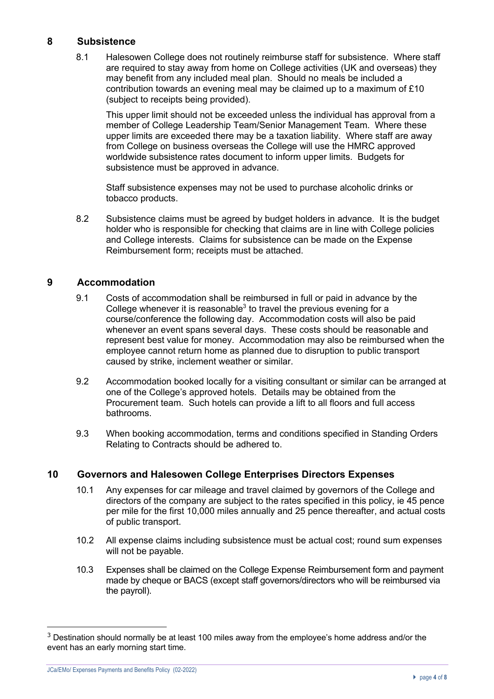## **8 Subsistence**

8.1 Halesowen College does not routinely reimburse staff for subsistence. Where staff are required to stay away from home on College activities (UK and overseas) they may benefit from any included meal plan. Should no meals be included a contribution towards an evening meal may be claimed up to a maximum of £10 (subject to receipts being provided).

This upper limit should not be exceeded unless the individual has approval from a member of College Leadership Team/Senior Management Team. Where these upper limits are exceeded there may be a taxation liability. Where staff are away from College on business overseas the College will use the HMRC approved worldwide subsistence rates document to inform upper limits. Budgets for subsistence must be approved in advance.

Staff subsistence expenses may not be used to purchase alcoholic drinks or tobacco products.

8.2 Subsistence claims must be agreed by budget holders in advance. It is the budget holder who is responsible for checking that claims are in line with College policies and College interests. Claims for subsistence can be made on the Expense Reimbursement form; receipts must be attached.

## **9 Accommodation**

- 9.1 Costs of accommodation shall be reimbursed in full or paid in advance by the College whenever it is reasonable $3$  to travel the previous evening for a course/conference the following day. Accommodation costs will also be paid whenever an event spans several days. These costs should be reasonable and represent best value for money. Accommodation may also be reimbursed when the employee cannot return home as planned due to disruption to public transport caused by strike, inclement weather or similar.
- 9.2 Accommodation booked locally for a visiting consultant or similar can be arranged at one of the College's approved hotels. Details may be obtained from the Procurement team. Such hotels can provide a lift to all floors and full access bathrooms.
- 9.3 When booking accommodation, terms and conditions specified in Standing Orders Relating to Contracts should be adhered to.

#### **10 Governors and Halesowen College Enterprises Directors Expenses**

- 10.1 Any expenses for car mileage and travel claimed by governors of the College and directors of the company are subject to the rates specified in this policy, ie 45 pence per mile for the first 10,000 miles annually and 25 pence thereafter, and actual costs of public transport.
- 10.2 All expense claims including subsistence must be actual cost; round sum expenses will not be payable.
- 10.3 Expenses shall be claimed on the College Expense Reimbursement form and payment made by cheque or BACS (except staff governors/directors who will be reimbursed via the payroll).

 $3$  Destination should normally be at least 100 miles away from the employee's home address and/or the event has an early morning start time.

JCa/EMo/ Expenses Payments and Benefits Policy (02-2022)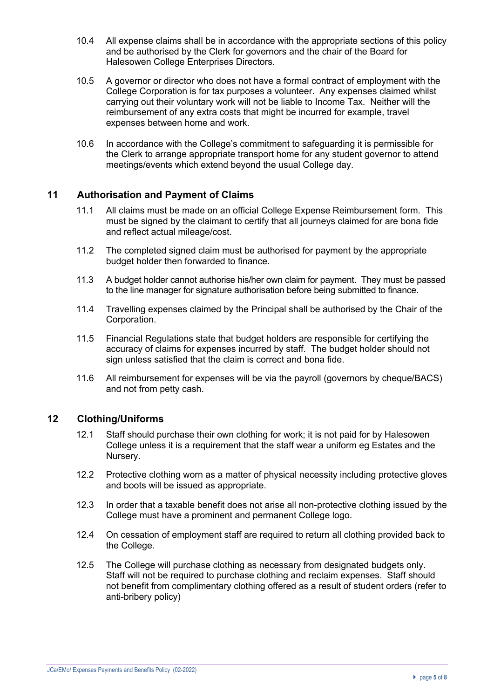- 10.4 All expense claims shall be in accordance with the appropriate sections of this policy and be authorised by the Clerk for governors and the chair of the Board for Halesowen College Enterprises Directors.
- 10.5 A governor or director who does not have a formal contract of employment with the College Corporation is for tax purposes a volunteer. Any expenses claimed whilst carrying out their voluntary work will not be liable to Income Tax. Neither will the reimbursement of any extra costs that might be incurred for example, travel expenses between home and work.
- 10.6 In accordance with the College's commitment to safeguarding it is permissible for the Clerk to arrange appropriate transport home for any student governor to attend meetings/events which extend beyond the usual College day.

### **11 Authorisation and Payment of Claims**

- 11.1 All claims must be made on an official College Expense Reimbursement form. This must be signed by the claimant to certify that all journeys claimed for are bona fide and reflect actual mileage/cost.
- 11.2 The completed signed claim must be authorised for payment by the appropriate budget holder then forwarded to finance.
- 11.3 A budget holder cannot authorise his/her own claim for payment. They must be passed to the line manager for signature authorisation before being submitted to finance.
- 11.4 Travelling expenses claimed by the Principal shall be authorised by the Chair of the Corporation.
- 11.5 Financial Regulations state that budget holders are responsible for certifying the accuracy of claims for expenses incurred by staff. The budget holder should not sign unless satisfied that the claim is correct and bona fide.
- 11.6 All reimbursement for expenses will be via the payroll (governors by cheque/BACS) and not from petty cash.

#### **12 Clothing/Uniforms**

- 12.1 Staff should purchase their own clothing for work; it is not paid for by Halesowen College unless it is a requirement that the staff wear a uniform eg Estates and the Nursery.
- 12.2 Protective clothing worn as a matter of physical necessity including protective gloves and boots will be issued as appropriate.
- 12.3 In order that a taxable benefit does not arise all non-protective clothing issued by the College must have a prominent and permanent College logo.
- 12.4 On cessation of employment staff are required to return all clothing provided back to the College.
- 12.5 The College will purchase clothing as necessary from designated budgets only. Staff will not be required to purchase clothing and reclaim expenses. Staff should not benefit from complimentary clothing offered as a result of student orders (refer to anti-bribery policy)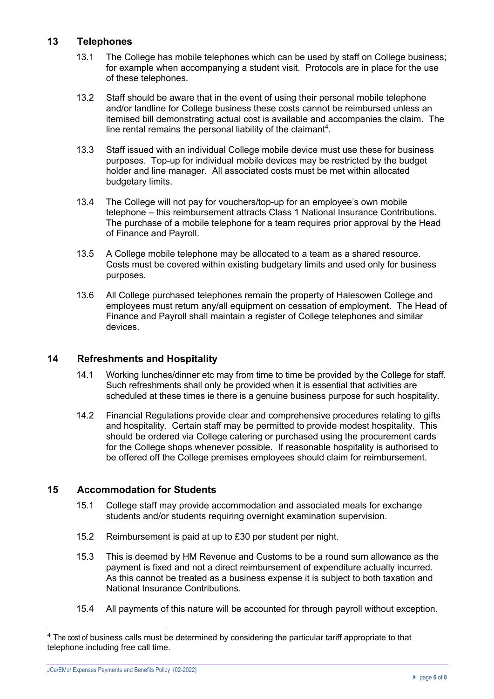## **13 Telephones**

- 13.1 The College has mobile telephones which can be used by staff on College business; for example when accompanying a student visit. Protocols are in place for the use of these telephones.
- 13.2 Staff should be aware that in the event of using their personal mobile telephone and/or landline for College business these costs cannot be reimbursed unless an itemised bill demonstrating actual cost is available and accompanies the claim. The line rental remains the personal liability of the claimant<sup>4</sup>.
- 13.3 Staff issued with an individual College mobile device must use these for business purposes. Top-up for individual mobile devices may be restricted by the budget holder and line manager. All associated costs must be met within allocated budgetary limits.
- 13.4 The College will not pay for vouchers/top-up for an employee's own mobile telephone – this reimbursement attracts Class 1 National Insurance Contributions. The purchase of a mobile telephone for a team requires prior approval by the Head of Finance and Payroll.
- 13.5 A College mobile telephone may be allocated to a team as a shared resource. Costs must be covered within existing budgetary limits and used only for business purposes.
- 13.6 All College purchased telephones remain the property of Halesowen College and employees must return any/all equipment on cessation of employment. The Head of Finance and Payroll shall maintain a register of College telephones and similar devices.

### **14 Refreshments and Hospitality**

- 14.1 Working lunches/dinner etc may from time to time be provided by the College for staff. Such refreshments shall only be provided when it is essential that activities are scheduled at these times ie there is a genuine business purpose for such hospitality.
- 14.2 Financial Regulations provide clear and comprehensive procedures relating to gifts and hospitality. Certain staff may be permitted to provide modest hospitality. This should be ordered via College catering or purchased using the procurement cards for the College shops whenever possible. If reasonable hospitality is authorised to be offered off the College premises employees should claim for reimbursement.

## **15 Accommodation for Students**

- 15.1 College staff may provide accommodation and associated meals for exchange students and/or students requiring overnight examination supervision.
- 15.2 Reimbursement is paid at up to £30 per student per night.
- 15.3 This is deemed by HM Revenue and Customs to be a round sum allowance as the payment is fixed and not a direct reimbursement of expenditure actually incurred. As this cannot be treated as a business expense it is subject to both taxation and National Insurance Contributions.
- 15.4 All payments of this nature will be accounted for through payroll without exception.

<sup>&</sup>lt;sup>4</sup> The cost of business calls must be determined by considering the particular tariff appropriate to that telephone including free call time.

JCa/EMo/ Expenses Payments and Benefits Policy (02-2022)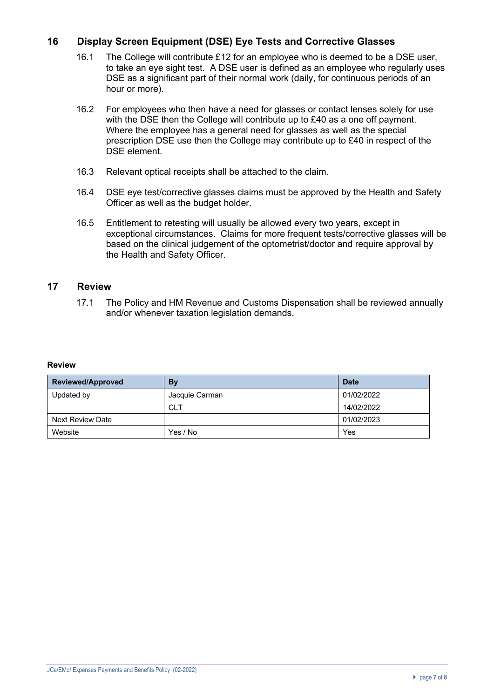## **16 Display Screen Equipment (DSE) Eye Tests and Corrective Glasses**

- 16.1 The College will contribute £12 for an employee who is deemed to be a DSE user, to take an eye sight test. A DSE user is defined as an employee who regularly uses DSE as a significant part of their normal work (daily, for continuous periods of an hour or more).
- 16.2 For employees who then have a need for glasses or contact lenses solely for use with the DSE then the College will contribute up to £40 as a one off payment. Where the employee has a general need for glasses as well as the special prescription DSE use then the College may contribute up to £40 in respect of the DSE element.
- 16.3 Relevant optical receipts shall be attached to the claim.
- 16.4 DSE eye test/corrective glasses claims must be approved by the Health and Safety Officer as well as the budget holder.
- 16.5 Entitlement to retesting will usually be allowed every two years, except in exceptional circumstances. Claims for more frequent tests/corrective glasses will be based on the clinical judgement of the optometrist/doctor and require approval by the Health and Safety Officer.

## **17 Review**

17.1 The Policy and HM Revenue and Customs Dispensation shall be reviewed annually and/or whenever taxation legislation demands.

#### **Review**

| Reviewed/Approved       | By             | <b>Date</b> |
|-------------------------|----------------|-------------|
| Updated by              | Jacquie Carman | 01/02/2022  |
|                         | <b>CLT</b>     | 14/02/2022  |
| <b>Next Review Date</b> |                | 01/02/2023  |
| Website                 | Yes / No       | Yes         |